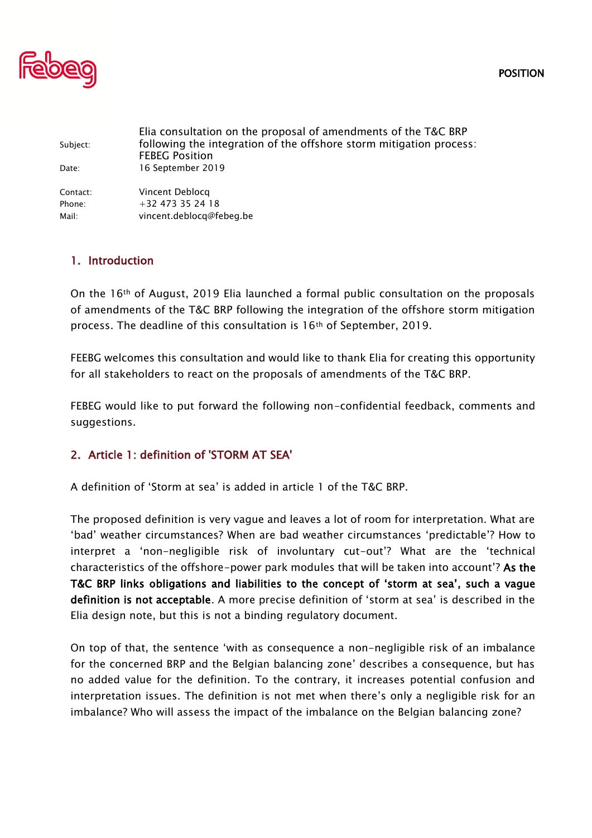POSITION



| Subject: | Elia consultation on the proposal of amendments of the T&C BRP<br>following the integration of the offshore storm mitigation process:<br><b>FEBEG Position</b> |
|----------|----------------------------------------------------------------------------------------------------------------------------------------------------------------|
| Date:    | 16 September 2019                                                                                                                                              |
| Contact: | Vincent Deblocg                                                                                                                                                |
| Phone:   | $+32$ 473 35 24 18                                                                                                                                             |
| Mail:    | vincent.deblocq@febeg.be                                                                                                                                       |
|          |                                                                                                                                                                |

## 1. Introduction

On the 16th of August, 2019 Elia launched a formal public consultation on the proposals of amendments of the T&C BRP following the integration of the offshore storm mitigation process. The deadline of this consultation is 16th of September, 2019.

FEEBG welcomes this consultation and would like to thank Elia for creating this opportunity for all stakeholders to react on the proposals of amendments of the T&C BRP.

FEBEG would like to put forward the following non-confidential feedback, comments and suggestions.

## 2. Article 1: definition of 'STORM AT SEA'

A definition of 'Storm at sea' is added in article 1 of the T&C BRP.

The proposed definition is very vague and leaves a lot of room for interpretation. What are 'bad' weather circumstances? When are bad weather circumstances 'predictable'? How to interpret a 'non-negligible risk of involuntary cut-out'? What are the 'technical characteristics of the offshore-power park modules that will be taken into account'? As the T&C BRP links obligations and liabilities to the concept of 'storm at sea', such a vague definition is not acceptable. A more precise definition of 'storm at sea' is described in the Elia design note, but this is not a binding regulatory document.

On top of that, the sentence 'with as consequence a non-negligible risk of an imbalance for the concerned BRP and the Belgian balancing zone' describes a consequence, but has no added value for the definition. To the contrary, it increases potential confusion and interpretation issues. The definition is not met when there's only a negligible risk for an imbalance? Who will assess the impact of the imbalance on the Belgian balancing zone?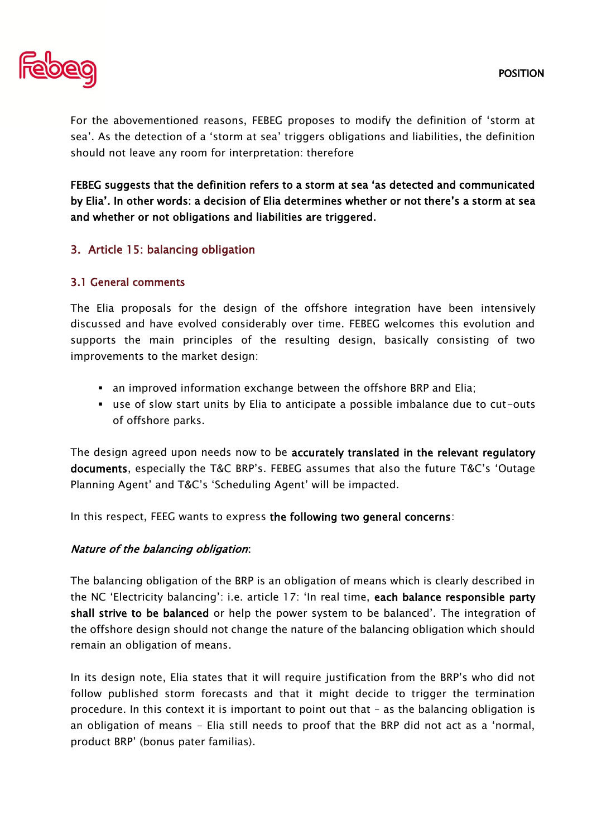

For the abovementioned reasons, FEBEG proposes to modify the definition of 'storm at sea'. As the detection of a 'storm at sea' triggers obligations and liabilities, the definition should not leave any room for interpretation: therefore

FEBEG suggests that the definition refers to a storm at sea 'as detected and communicated by Elia'. In other words: a decision of Elia determines whether or not there's a storm at sea and whether or not obligations and liabilities are triggered.

# 3. Article 15: balancing obligation

## 3.1 General comments

The Elia proposals for the design of the offshore integration have been intensively discussed and have evolved considerably over time. FEBEG welcomes this evolution and supports the main principles of the resulting design, basically consisting of two improvements to the market design:

- **•** an improved information exchange between the offshore BRP and Elia;
- use of slow start units by Elia to anticipate a possible imbalance due to cut-outs of offshore parks.

The design agreed upon needs now to be accurately translated in the relevant regulatory documents, especially the T&C BRP's. FEBEG assumes that also the future T&C's 'Outage Planning Agent' and T&C's 'Scheduling Agent' will be impacted.

In this respect, FEEG wants to express the following two general concerns:

## Nature of the balancing obligation:

The balancing obligation of the BRP is an obligation of means which is clearly described in the NC 'Electricity balancing': i.e. article 17: 'In real time, each balance responsible party shall strive to be balanced or help the power system to be balanced'. The integration of the offshore design should not change the nature of the balancing obligation which should remain an obligation of means.

In its design note, Elia states that it will require justification from the BRP's who did not follow published storm forecasts and that it might decide to trigger the termination procedure. In this context it is important to point out that – as the balancing obligation is an obligation of means – Elia still needs to proof that the BRP did not act as a 'normal, product BRP' (bonus pater familias).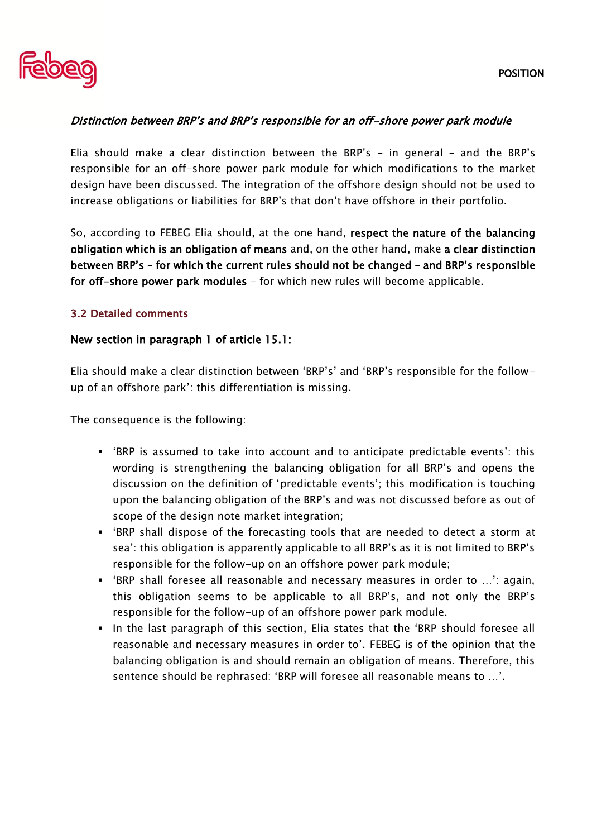

## Distinction between BRP's and BRP's responsible for an off-shore power park module

Elia should make a clear distinction between the BRP's – in general – and the BRP's responsible for an off-shore power park module for which modifications to the market design have been discussed. The integration of the offshore design should not be used to increase obligations or liabilities for BRP's that don't have offshore in their portfolio.

So, according to FEBEG Elia should, at the one hand, respect the nature of the balancing obligation which is an obligation of means and, on the other hand, make a clear distinction between BRP's – for which the current rules should not be changed – and BRP's responsible for off-shore power park modules – for which new rules will become applicable.

## 3.2 Detailed comments

### New section in paragraph 1 of article 15.1:

Elia should make a clear distinction between 'BRP's' and 'BRP's responsible for the followup of an offshore park': this differentiation is missing.

The consequence is the following:

- 'BRP is assumed to take into account and to anticipate predictable events': this wording is strengthening the balancing obligation for all BRP's and opens the discussion on the definition of 'predictable events'; this modification is touching upon the balancing obligation of the BRP's and was not discussed before as out of scope of the design note market integration;
- 'BRP shall dispose of the forecasting tools that are needed to detect a storm at sea': this obligation is apparently applicable to all BRP's as it is not limited to BRP's responsible for the follow-up on an offshore power park module;
- 'BRP shall foresee all reasonable and necessary measures in order to ...': again, this obligation seems to be applicable to all BRP's, and not only the BRP's responsible for the follow-up of an offshore power park module.
- In the last paragraph of this section, Elia states that the 'BRP should foresee all reasonable and necessary measures in order to'. FEBEG is of the opinion that the balancing obligation is and should remain an obligation of means. Therefore, this sentence should be rephrased: 'BRP will foresee all reasonable means to …'.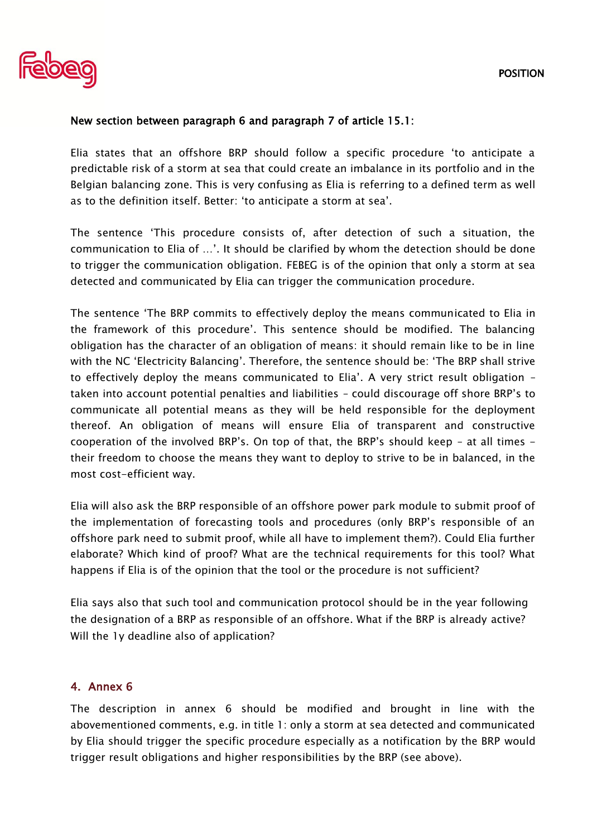

## New section between paragraph 6 and paragraph 7 of article 15.1:

Elia states that an offshore BRP should follow a specific procedure 'to anticipate a predictable risk of a storm at sea that could create an imbalance in its portfolio and in the Belgian balancing zone. This is very confusing as Elia is referring to a defined term as well as to the definition itself. Better: 'to anticipate a storm at sea'.

The sentence 'This procedure consists of, after detection of such a situation, the communication to Elia of …'. It should be clarified by whom the detection should be done to trigger the communication obligation. FEBEG is of the opinion that only a storm at sea detected and communicated by Elia can trigger the communication procedure.

The sentence 'The BRP commits to effectively deploy the means communicated to Elia in the framework of this procedure'. This sentence should be modified. The balancing obligation has the character of an obligation of means: it should remain like to be in line with the NC 'Electricity Balancing'. Therefore, the sentence should be: 'The BRP shall strive to effectively deploy the means communicated to Elia'. A very strict result obligation – taken into account potential penalties and liabilities – could discourage off shore BRP's to communicate all potential means as they will be held responsible for the deployment thereof. An obligation of means will ensure Elia of transparent and constructive cooperation of the involved BRP's. On top of that, the BRP's should keep – at all times their freedom to choose the means they want to deploy to strive to be in balanced, in the most cost-efficient way.

Elia will also ask the BRP responsible of an offshore power park module to submit proof of the implementation of forecasting tools and procedures (only BRP's responsible of an offshore park need to submit proof, while all have to implement them?). Could Elia further elaborate? Which kind of proof? What are the technical requirements for this tool? What happens if Elia is of the opinion that the tool or the procedure is not sufficient?

Elia says also that such tool and communication protocol should be in the year following the designation of a BRP as responsible of an offshore. What if the BRP is already active? Will the 1y deadline also of application?

## 4. Annex 6

The description in annex 6 should be modified and brought in line with the abovementioned comments, e.g. in title 1: only a storm at sea detected and communicated by Elia should trigger the specific procedure especially as a notification by the BRP would trigger result obligations and higher responsibilities by the BRP (see above).